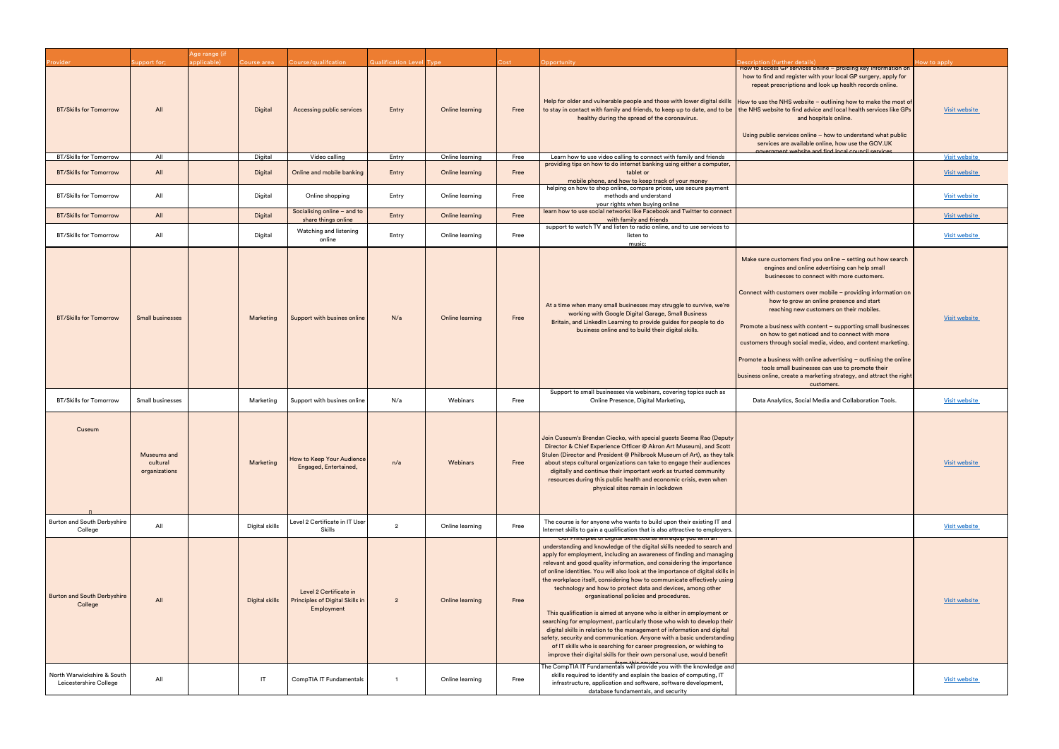|                                                      |                                          | <b>\ge range (if</b> |                |                                                                         |                                 |                 |       |                                                                                                                                                                                                                                                                                                                                                                                                                                                                                                                                                                                                                                                                                                                                                                                                                                                                                                                                                                                                                        |                                                                                                                                                                                                                                                                                                                                                                                                                                                                                                                                                                                                                                                                                                                       |                      |
|------------------------------------------------------|------------------------------------------|----------------------|----------------|-------------------------------------------------------------------------|---------------------------------|-----------------|-------|------------------------------------------------------------------------------------------------------------------------------------------------------------------------------------------------------------------------------------------------------------------------------------------------------------------------------------------------------------------------------------------------------------------------------------------------------------------------------------------------------------------------------------------------------------------------------------------------------------------------------------------------------------------------------------------------------------------------------------------------------------------------------------------------------------------------------------------------------------------------------------------------------------------------------------------------------------------------------------------------------------------------|-----------------------------------------------------------------------------------------------------------------------------------------------------------------------------------------------------------------------------------------------------------------------------------------------------------------------------------------------------------------------------------------------------------------------------------------------------------------------------------------------------------------------------------------------------------------------------------------------------------------------------------------------------------------------------------------------------------------------|----------------------|
| rovider                                              | upport for;                              | pplicable)           | ourse area     | Course/qualifcation                                                     | <b>Qualification Level Type</b> |                 | cost) | <b>Opportunity</b>                                                                                                                                                                                                                                                                                                                                                                                                                                                                                                                                                                                                                                                                                                                                                                                                                                                                                                                                                                                                     | <b>Description (further details)</b><br>How to access GP services online - proiding key information on                                                                                                                                                                                                                                                                                                                                                                                                                                                                                                                                                                                                                | low to apply         |
| <b>BT/Skills for Tomorrow</b>                        | All                                      |                      | Digital        | Accessing public services                                               | Entry                           | Online learning | Free  | Help for older and vulnerable people and those with lower digital skills<br>to stay in contact with family and friends, to keep up to date, and to be<br>healthy during the spread of the coronavirus.                                                                                                                                                                                                                                                                                                                                                                                                                                                                                                                                                                                                                                                                                                                                                                                                                 | how to find and register with your local GP surgery, apply for<br>repeat prescriptions and look up health records online.<br>How to use the NHS website - outlining how to make the most of<br>the NHS website to find advice and local health services like GPs<br>and hospitals online.<br>Using public services online - how to understand what public<br>services are available online, how use the GOV.UK<br>novernment website and find local council services                                                                                                                                                                                                                                                  | <b>Visit website</b> |
| <b>BT/Skills for Tomorrow</b>                        | All                                      |                      | Digital        | Video calling                                                           | Entry                           | Online learning | Free  | Learn how to use video calling to connect with family and friends                                                                                                                                                                                                                                                                                                                                                                                                                                                                                                                                                                                                                                                                                                                                                                                                                                                                                                                                                      |                                                                                                                                                                                                                                                                                                                                                                                                                                                                                                                                                                                                                                                                                                                       | <b>Visit website</b> |
| <b>BT/Skills for Tomorrow</b>                        | All                                      |                      | Digital        | Online and mobile banking                                               | Entry                           | Online learning | Free  | providing tips on how to do internet banking using either a computer,<br>tablet or<br>mobile phone, and how to keep track of your money                                                                                                                                                                                                                                                                                                                                                                                                                                                                                                                                                                                                                                                                                                                                                                                                                                                                                |                                                                                                                                                                                                                                                                                                                                                                                                                                                                                                                                                                                                                                                                                                                       | <b>Visit website</b> |
| <b>BT/Skills for Tomorrow</b>                        | All                                      |                      | Digital        | Online shopping                                                         | Entry                           | Online learning | Free  | helping on how to shop online, compare prices, use secure payment<br>methods and understand<br>your rights when buying online                                                                                                                                                                                                                                                                                                                                                                                                                                                                                                                                                                                                                                                                                                                                                                                                                                                                                          |                                                                                                                                                                                                                                                                                                                                                                                                                                                                                                                                                                                                                                                                                                                       | <b>Visit website</b> |
| <b>BT/Skills for Tomorrow</b>                        | All                                      |                      | Digital        | Socialising online - and to<br>share things online                      | Entry                           | Online learning | Free  | learn how to use social networks like Facebook and Twitter to connect<br>with family and friends                                                                                                                                                                                                                                                                                                                                                                                                                                                                                                                                                                                                                                                                                                                                                                                                                                                                                                                       |                                                                                                                                                                                                                                                                                                                                                                                                                                                                                                                                                                                                                                                                                                                       | <b>Visit website</b> |
|                                                      |                                          |                      |                | Watching and listening                                                  |                                 |                 |       | support to watch TV and listen to radio online, and to use services to                                                                                                                                                                                                                                                                                                                                                                                                                                                                                                                                                                                                                                                                                                                                                                                                                                                                                                                                                 |                                                                                                                                                                                                                                                                                                                                                                                                                                                                                                                                                                                                                                                                                                                       |                      |
| <b>BT/Skills for Tomorrow</b>                        | All                                      |                      | Digital        | online                                                                  | Entry                           | Online learning | Free  | listen to<br>music:                                                                                                                                                                                                                                                                                                                                                                                                                                                                                                                                                                                                                                                                                                                                                                                                                                                                                                                                                                                                    |                                                                                                                                                                                                                                                                                                                                                                                                                                                                                                                                                                                                                                                                                                                       | <b>Visit website</b> |
| <b>BT/Skills for Tomorrow</b>                        | <b>Small businesses</b>                  |                      | Marketing      | Support with busines online                                             | N/a                             | Online learning | Free  | At a time when many small businesses may struggle to survive, we're<br>working with Google Digital Garage, Small Business<br>Britain, and LinkedIn Learning to provide guides for people to do<br>business online and to build their digital skills.                                                                                                                                                                                                                                                                                                                                                                                                                                                                                                                                                                                                                                                                                                                                                                   | Make sure customers find you online - setting out how search<br>engines and online advertising can help small<br>businesses to connect with more customers.<br>Connect with customers over mobile - providing information on<br>how to grow an online presence and start<br>reaching new customers on their mobiles.<br>Promote a business with content - supporting small businesses<br>on how to get noticed and to connect with more<br>customers through social media, video, and content marketing.<br>Promote a business with online advertising - outlining the online<br>tools small businesses can use to promote their<br>business online, create a marketing strategy, and attract the right<br>customers. | <b>Visit website</b> |
| <b>BT/Skills for Tomorrow</b>                        | Small businesses                         |                      | Marketing      | Support with busines online                                             | N/a                             | Webinars        | Free  | Support to small businesses via webinars, covering topics such as<br>Online Presence, Digital Marketing,                                                                                                                                                                                                                                                                                                                                                                                                                                                                                                                                                                                                                                                                                                                                                                                                                                                                                                               | Data Analytics, Social Media and Collaboration Tools.                                                                                                                                                                                                                                                                                                                                                                                                                                                                                                                                                                                                                                                                 | <b>Visit website</b> |
| Cuseum                                               | Museums and<br>cultural<br>organizations |                      | Marketing      | How to Keep Your Audience<br>Engaged, Entertained,                      | n/a                             | Webinars        | Free  | Join Cuseum's Brendan Ciecko, with special guests Seema Rao (Deputy<br>Director & Chief Experience Officer @ Akron Art Museum), and Scott<br>Stulen (Director and President @ Philbrook Museum of Art), as they talk<br>about steps cultural organizations can take to engage their audiences<br>digitally and continue their important work as trusted community<br>resources during this public health and economic crisis, even when<br>physical sites remain in lockdown                                                                                                                                                                                                                                                                                                                                                                                                                                                                                                                                           |                                                                                                                                                                                                                                                                                                                                                                                                                                                                                                                                                                                                                                                                                                                       | <b>Visit website</b> |
| Burton and South Derbyshire<br>College               | All                                      |                      | Digital skills | Level 2 Certificate in IT User<br>Skills                                | $\overline{2}$                  | Online learning | Free  | The course is for anyone who wants to build upon their existing IT and<br>Internet skills to gain a qualification that is also attractive to employers.                                                                                                                                                                                                                                                                                                                                                                                                                                                                                                                                                                                                                                                                                                                                                                                                                                                                |                                                                                                                                                                                                                                                                                                                                                                                                                                                                                                                                                                                                                                                                                                                       | <b>Visit website</b> |
| <b>Burton and South Derbyshire</b><br>College        | All                                      |                      | Digital skills | Level 2 Certificate in<br>Principles of Digital Skills in<br>Employment | $\overline{2}$                  | Online learning | Free  | <u>Our Frinciples of Digital Skills course will equip you</u><br>understanding and knowledge of the digital skills needed to search and<br>apply for employment, including an awareness of finding and managing<br>relevant and good quality information, and considering the importance<br>of online identities. You will also look at the importance of digital skills in<br>the workplace itself, considering how to communicate effectively using<br>technology and how to protect data and devices, among other<br>organisational policies and procedures.<br>This qualification is aimed at anyone who is either in employment or<br>searching for employment, particularly those who wish to develop their<br>digital skills in relation to the management of information and digital<br>safety, security and communication. Anyone with a basic understanding<br>of IT skills who is searching for career progression, or wishing to<br>improve their digital skills for their own personal use, would benefit |                                                                                                                                                                                                                                                                                                                                                                                                                                                                                                                                                                                                                                                                                                                       | <b>Visit website</b> |
| North Warwickshire & South<br>Leicestershire College | All                                      |                      | IT             | CompTIA IT Fundamentals                                                 | -1                              | Online learning | Free  | The CompTIA IT Fundamentals will provide you with the knowledge an<br>skills required to identify and explain the basics of computing, IT<br>infrastructure, application and software, software development,<br>database fundamentals, and security                                                                                                                                                                                                                                                                                                                                                                                                                                                                                                                                                                                                                                                                                                                                                                    |                                                                                                                                                                                                                                                                                                                                                                                                                                                                                                                                                                                                                                                                                                                       | <b>Visit website</b> |

|                                                                                  | Description (further details)                                                                                                                                                                                                                                                                                                                                                                                                                                                                                                                                                                                                                                                                                         | How to apply         |
|----------------------------------------------------------------------------------|-----------------------------------------------------------------------------------------------------------------------------------------------------------------------------------------------------------------------------------------------------------------------------------------------------------------------------------------------------------------------------------------------------------------------------------------------------------------------------------------------------------------------------------------------------------------------------------------------------------------------------------------------------------------------------------------------------------------------|----------------------|
| kills<br>be d                                                                    | How to access GP services online - proiding key information on<br>how to find and register with your local GP surgery, apply for<br>repeat prescriptions and look up health records online.<br>How to use the NHS website - outlining how to make the most of<br>the NHS website to find advice and local health services like GPs<br>and hospitals online.<br>Using public services online - how to understand what public<br>services are available online, how use the GOV.UK<br>covernment website and find local council services                                                                                                                                                                                | <b>Visit website</b> |
| S                                                                                |                                                                                                                                                                                                                                                                                                                                                                                                                                                                                                                                                                                                                                                                                                                       | <b>Visit website</b> |
| ter,                                                                             |                                                                                                                                                                                                                                                                                                                                                                                                                                                                                                                                                                                                                                                                                                                       | <b>Visit website</b> |
| nt:                                                                              |                                                                                                                                                                                                                                                                                                                                                                                                                                                                                                                                                                                                                                                                                                                       | Visit website        |
| ıect                                                                             |                                                                                                                                                                                                                                                                                                                                                                                                                                                                                                                                                                                                                                                                                                                       | Visit website        |
| to                                                                               |                                                                                                                                                                                                                                                                                                                                                                                                                                                                                                                                                                                                                                                                                                                       | Visit website        |
| 're<br>C                                                                         | Make sure customers find you online - setting out how search<br>engines and online advertising can help small<br>businesses to connect with more customers.<br>Connect with customers over mobile - providing information on<br>how to grow an online presence and start<br>reaching new customers on their mobiles.<br>Promote a business with content - supporting small businesses<br>on how to get noticed and to connect with more<br>customers through social media, video, and content marketing.<br>Promote a business with online advertising - outlining the online<br>tools small businesses can use to promote their<br>business online, create a marketing strategy, and attract the right<br>customers. | <b>Visit website</b> |
| S                                                                                | Data Analytics, Social Media and Collaboration Tools.                                                                                                                                                                                                                                                                                                                                                                                                                                                                                                                                                                                                                                                                 | Visit website        |
| puty<br>∶ott<br>talk<br>ces<br>Y<br>эn                                           |                                                                                                                                                                                                                                                                                                                                                                                                                                                                                                                                                                                                                                                                                                                       | <b>Visit website</b> |
| and<br>ers.                                                                      |                                                                                                                                                                                                                                                                                                                                                                                                                                                                                                                                                                                                                                                                                                                       | <b>Visit website</b> |
| and<br>ging<br>nce<br>ills in<br>sing<br>or<br>:heir<br>tal<br>ding<br>).<br>fit |                                                                                                                                                                                                                                                                                                                                                                                                                                                                                                                                                                                                                                                                                                                       | <b>Visit website</b> |
| and                                                                              |                                                                                                                                                                                                                                                                                                                                                                                                                                                                                                                                                                                                                                                                                                                       | Visit website        |